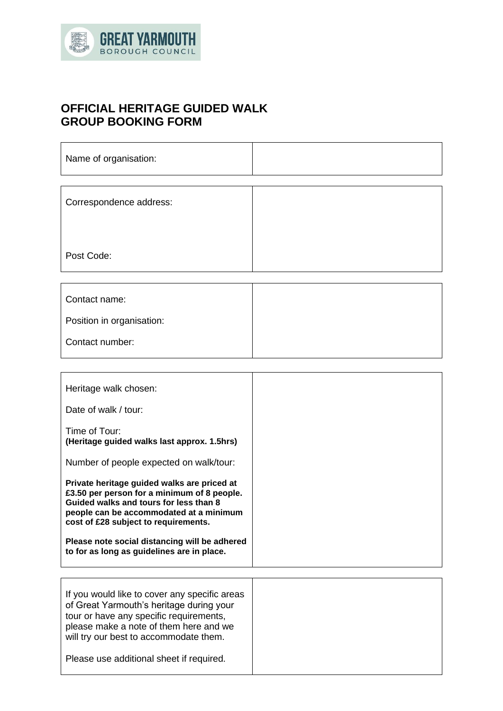

 $\Gamma$ 

# **OFFICIAL HERITAGE GUIDED WALK GROUP BOOKING FORM**

| Name of organisation:     |  |
|---------------------------|--|
|                           |  |
| Correspondence address:   |  |
|                           |  |
| Post Code:                |  |
|                           |  |
| Contact name:             |  |
| Position in organisation: |  |

Τ

| Contact number: |  |
|-----------------|--|
|                 |  |
|                 |  |

| Heritage walk chosen:                                                                                                                                                                                                                                                                                                  |  |
|------------------------------------------------------------------------------------------------------------------------------------------------------------------------------------------------------------------------------------------------------------------------------------------------------------------------|--|
| Date of walk / tour:                                                                                                                                                                                                                                                                                                   |  |
| Time of Tour:<br>(Heritage guided walks last approx. 1.5hrs)                                                                                                                                                                                                                                                           |  |
| Number of people expected on walk/tour:                                                                                                                                                                                                                                                                                |  |
| Private heritage guided walks are priced at<br>£3.50 per person for a minimum of 8 people.<br>Guided walks and tours for less than 8<br>people can be accommodated at a minimum<br>cost of £28 subject to requirements.<br>Please note social distancing will be adhered<br>to for as long as guidelines are in place. |  |
| If you would like to cover any specific areas<br>of Great Yarmouth's heritage during your<br>tour or have any specific requirements,                                                                                                                                                                                   |  |
| please make a note of them here and we<br>will try our best to accommodate them.                                                                                                                                                                                                                                       |  |

Please use additional sheet if required.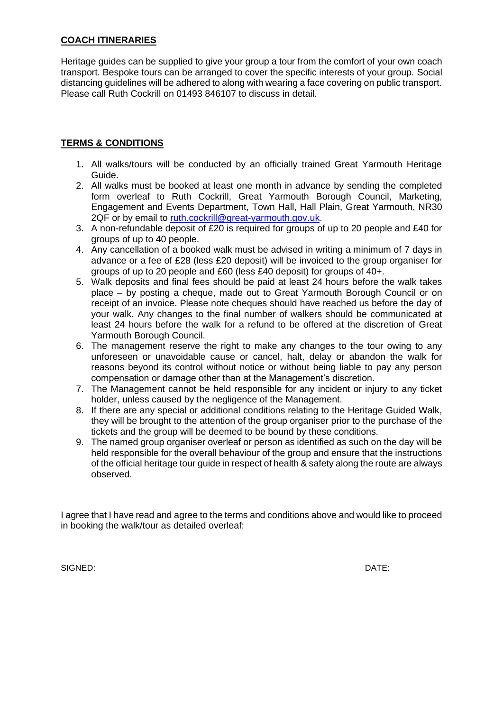# **COACH ITINERARIES**

Heritage guides can be supplied to give your group a tour from the comfort of your own coach transport. Bespoke tours can be arranged to cover the specific interests of your group. Social distancing guidelines will be adhered to along with wearing a face covering on public transport. Please call Ruth Cockrill on 01493 846107 to discuss in detail.

# **TERMS & CONDITIONS**

- 1. All walks/tours will be conducted by an officially trained Great Yarmouth Heritage Guide.
- 2. All walks must be booked at least one month in advance by sending the completed form overleaf to Ruth Cockrill, Great Yarmouth Borough Council, Marketing, Engagement and Events Department, Town Hall, Hall Plain, Great Yarmouth, NR30 2QF or by email to [ruth.cockrill@great-yarmouth.gov.uk.](mailto:ruth.cockrill@great-yarmouth.gov.uk)
- 3. A non-refundable deposit of £20 is required for groups of up to 20 people and £40 for groups of up to 40 people.
- 4. Any cancellation of a booked walk must be advised in writing a minimum of 7 days in advance or a fee of £28 (less £20 deposit) will be invoiced to the group organiser for groups of up to 20 people and £60 (less £40 deposit) for groups of 40+.
- 5. Walk deposits and final fees should be paid at least 24 hours before the walk takes place – by posting a cheque, made out to Great Yarmouth Borough Council or on receipt of an invoice. Please note cheques should have reached us before the day of your walk. Any changes to the final number of walkers should be communicated at least 24 hours before the walk for a refund to be offered at the discretion of Great Yarmouth Borough Council.
- 6. The management reserve the right to make any changes to the tour owing to any unforeseen or unavoidable cause or cancel, halt, delay or abandon the walk for reasons beyond its control without notice or without being liable to pay any person compensation or damage other than at the Management's discretion.
- 7. The Management cannot be held responsible for any incident or injury to any ticket holder, unless caused by the negligence of the Management.
- 8. If there are any special or additional conditions relating to the Heritage Guided Walk, they will be brought to the attention of the group organiser prior to the purchase of the tickets and the group will be deemed to be bound by these conditions.
- 9. The named group organiser overleaf or person as identified as such on the day will be held responsible for the overall behaviour of the group and ensure that the instructions of the official heritage tour guide in respect of health & safety along the route are always observed.

I agree that I have read and agree to the terms and conditions above and would like to proceed in booking the walk/tour as detailed overleaf:

SIGNED: DATE: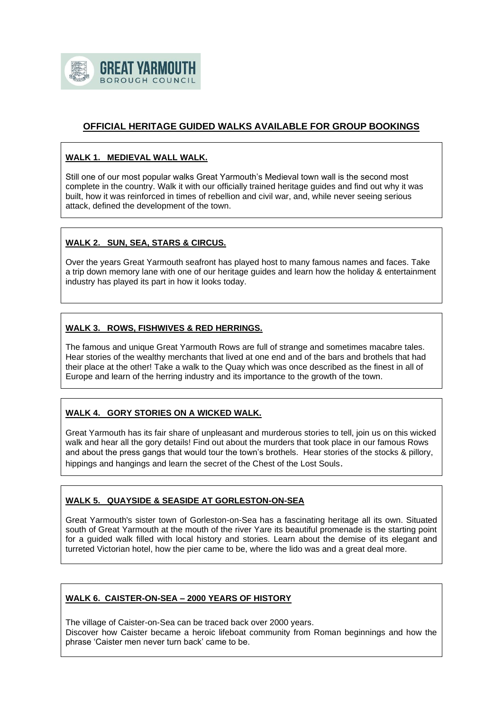

# **OFFICIAL HERITAGE GUIDED WALKS AVAILABLE FOR GROUP BOOKINGS**

#### **WALK 1. MEDIEVAL WALL WALK.**

Still one of our most popular walks Great Yarmouth's Medieval town wall is the second most complete in the country. Walk it with our officially trained heritage guides and find out why it was built, how it was reinforced in times of rebellion and civil war, and, while never seeing serious attack, defined the development of the town.

#### **WALK 2. SUN, SEA, STARS & CIRCUS.**

Over the years Great Yarmouth seafront has played host to many famous names and faces. Take a trip down memory lane with one of our heritage guides and learn how the holiday & entertainment industry has played its part in how it looks today.

#### **WALK 3. ROWS, FISHWIVES & RED HERRINGS.**

The famous and unique Great Yarmouth Rows are full of strange and sometimes macabre tales. Hear stories of the wealthy merchants that lived at one end and of the bars and brothels that had their place at the other! Take a walk to the Quay which was once described as the finest in all of Europe and learn of the herring industry and its importance to the growth of the town.

## **WALK 4. GORY STORIES ON A WICKED WALK.**

Great Yarmouth has its fair share of unpleasant and murderous stories to tell, join us on this wicked walk and hear all the gory details! Find out about the murders that took place in our famous Rows and about the press gangs that would tour the town's brothels. Hear stories of the stocks & pillory, hippings and hangings and learn the secret of the Chest of the Lost Souls.

## **WALK 5. QUAYSIDE & SEASIDE AT GORLESTON-ON-SEA**

Great Yarmouth's sister town of Gorleston-on-Sea has a fascinating heritage all its own. Situated south of Great Yarmouth at the mouth of the river Yare its beautiful promenade is the starting point for a guided walk filled with local history and stories. Learn about the demise of its elegant and turreted Victorian hotel, how the pier came to be, where the lido was and a great deal more.

#### **WALK 6. CAISTER-ON-SEA – 2000 YEARS OF HISTORY**

The village of Caister-on-Sea can be traced back over 2000 years. Discover how Caister became a heroic lifeboat community from Roman beginnings and how the phrase 'Caister men never turn back' came to be.